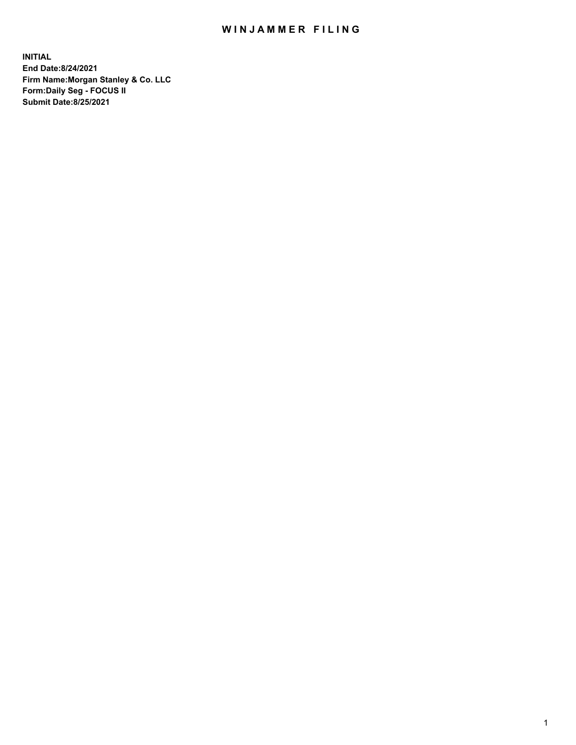## WIN JAMMER FILING

**INITIAL End Date:8/24/2021 Firm Name:Morgan Stanley & Co. LLC Form:Daily Seg - FOCUS II Submit Date:8/25/2021**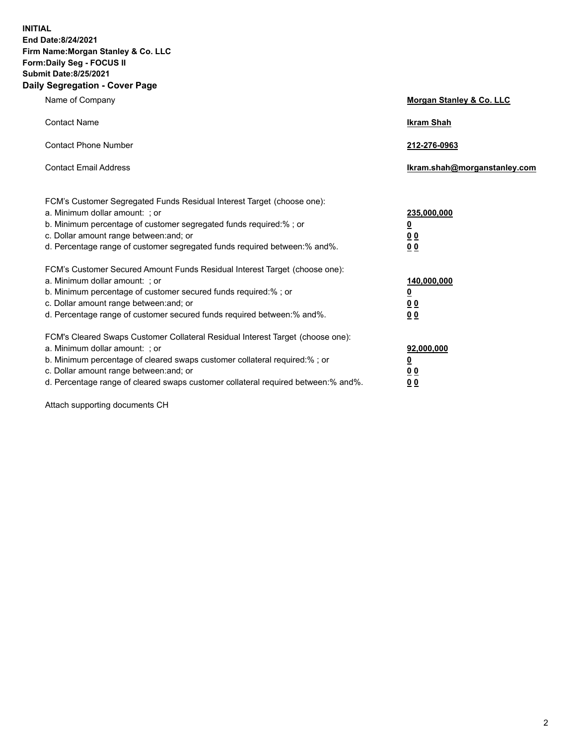**INITIAL End Date:8/24/2021 Firm Name:Morgan Stanley & Co. LLC Form:Daily Seg - FOCUS II Submit Date:8/25/2021 Daily Segregation - Cover Page**

| Name of Company                                                                                                                                                                                                                                                                                                                | Morgan Stanley & Co. LLC                                |
|--------------------------------------------------------------------------------------------------------------------------------------------------------------------------------------------------------------------------------------------------------------------------------------------------------------------------------|---------------------------------------------------------|
| <b>Contact Name</b>                                                                                                                                                                                                                                                                                                            | <b>Ikram Shah</b>                                       |
| <b>Contact Phone Number</b>                                                                                                                                                                                                                                                                                                    | 212-276-0963                                            |
| <b>Contact Email Address</b>                                                                                                                                                                                                                                                                                                   | Ikram.shah@morganstanley.com                            |
| FCM's Customer Segregated Funds Residual Interest Target (choose one):<br>a. Minimum dollar amount: ; or<br>b. Minimum percentage of customer segregated funds required:% ; or<br>c. Dollar amount range between: and; or<br>d. Percentage range of customer segregated funds required between:% and%.                         | 235,000,000<br><u>0</u><br><u>00</u><br><u>00</u>       |
| FCM's Customer Secured Amount Funds Residual Interest Target (choose one):<br>a. Minimum dollar amount: ; or<br>b. Minimum percentage of customer secured funds required:%; or<br>c. Dollar amount range between: and; or<br>d. Percentage range of customer secured funds required between:% and%.                            | 140,000,000<br><u>0</u><br><u>0 0</u><br>0 <sub>0</sub> |
| FCM's Cleared Swaps Customer Collateral Residual Interest Target (choose one):<br>a. Minimum dollar amount: ; or<br>b. Minimum percentage of cleared swaps customer collateral required:% ; or<br>c. Dollar amount range between: and; or<br>d. Percentage range of cleared swaps customer collateral required between:% and%. | 92,000,000<br><u>0</u><br><u>00</u><br>00               |

Attach supporting documents CH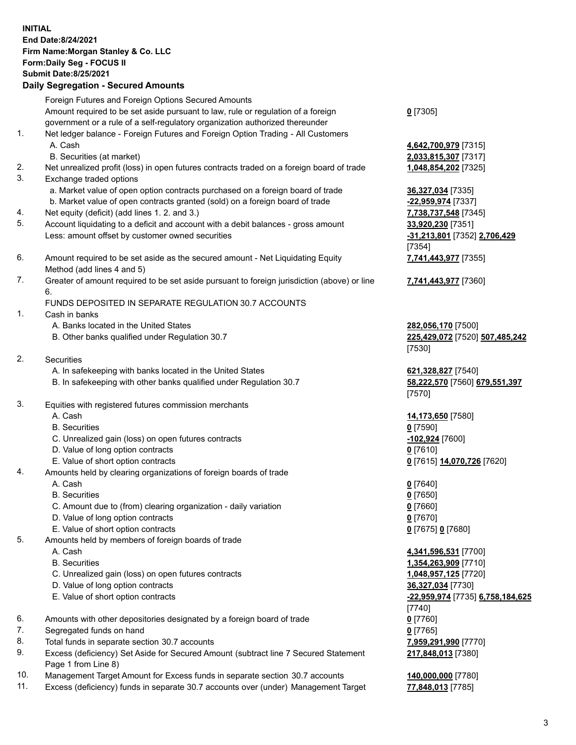## **INITIAL End Date:8/24/2021 Firm Name:Morgan Stanley & Co. LLC Form:Daily Seg - FOCUS II Submit Date:8/25/2021**

**Daily Segregation - Secured Amounts** Foreign Futures and Foreign Options Secured Amounts Amount required to be set aside pursuant to law, rule or regulation of a foreign government or a rule of a self-regulatory organization authorized thereunder 1. Net ledger balance - Foreign Futures and Foreign Option Trading - All Customers A. Cash **4,642,700,979** [7315] B. Securities (at market) **2,033,815,307** [7317] 2. Net unrealized profit (loss) in open futures contracts traded on a foreign board of trade **1,048,854,202** [7325] 3. Exchange traded options a. Market value of open option contracts purchased on a foreign board of trade **36,327,034** [7335] b. Market value of open contracts granted (sold) on a foreign board of trade **-22,959,974** [7337] 4. Net equity (deficit) (add lines 1. 2. and 3.) **7,738,737,548** [7345] 5. Account liquidating to a deficit and account with a debit balances - gross amount **33,920,230** [7351] Less: amount offset by customer owned securities **-31,213,801** [7352] **2,706,429** 6. Amount required to be set aside as the secured amount - Net Liquidating Equity Method (add lines 4 and 5) 7. Greater of amount required to be set aside pursuant to foreign jurisdiction (above) or line 6. FUNDS DEPOSITED IN SEPARATE REGULATION 30.7 ACCOUNTS 1. Cash in banks A. Banks located in the United States **282,056,170** [7500] B. Other banks qualified under Regulation 30.7 **225,429,072** [7520] **507,485,242** 2. Securities A. In safekeeping with banks located in the United States **621,328,827** [7540] B. In safekeeping with other banks qualified under Regulation 30.7 **58,222,570** [7560] **679,551,397** 3. Equities with registered futures commission merchants A. Cash **14,173,650** [7580] B. Securities **0** [7590] C. Unrealized gain (loss) on open futures contracts **-102,924** [7600] D. Value of long option contracts **0** [7610] E. Value of short option contracts **0** [7615] **14,070,726** [7620] 4. Amounts held by clearing organizations of foreign boards of trade A. Cash **0** [7640] B. Securities **0** [7650] C. Amount due to (from) clearing organization - daily variation **0** [7660] D. Value of long option contracts **0** [7670] E. Value of short option contracts **0** [7675] **0** [7680] 5. Amounts held by members of foreign boards of trade A. Cash **4,341,596,531** [7700] B. Securities **1,354,263,909** [7710] C. Unrealized gain (loss) on open futures contracts **1,048,957,125** [7720]

- D. Value of long option contracts **36,327,034** [7730]
- 
- 6. Amounts with other depositories designated by a foreign board of trade **0** [7760]
- 7. Segregated funds on hand **0** [7765]
- 8. Total funds in separate section 30.7 accounts **7,959,291,990** [7770]
- 9. Excess (deficiency) Set Aside for Secured Amount (subtract line 7 Secured Statement Page 1 from Line 8)
- 10. Management Target Amount for Excess funds in separate section 30.7 accounts **140,000,000** [7780]
- 11. Excess (deficiency) funds in separate 30.7 accounts over (under) Management Target **77,848,013** [7785]

**0** [7305]

[7354] **7,741,443,977** [7355]

**7,741,443,977** [7360]

[7530]

[7570]

 E. Value of short option contracts **-22,959,974** [7735] **6,758,184,625** [7740] **217,848,013** [7380]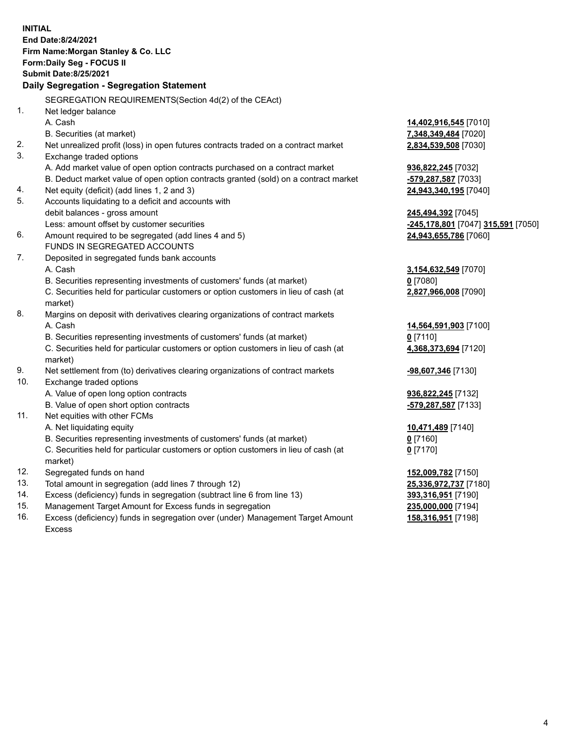**INITIAL End Date:8/24/2021 Firm Name:Morgan Stanley & Co. LLC Form:Daily Seg - FOCUS II Submit Date:8/25/2021 Daily Segregation - Segregation Statement** SEGREGATION REQUIREMENTS(Section 4d(2) of the CEAct) 1. Net ledger balance A. Cash **14,402,916,545** [7010] B. Securities (at market) **7,348,349,484** [7020] 2. Net unrealized profit (loss) in open futures contracts traded on a contract market **2,834,539,508** [7030] 3. Exchange traded options A. Add market value of open option contracts purchased on a contract market **936,822,245** [7032] B. Deduct market value of open option contracts granted (sold) on a contract market **-579,287,587** [7033] 4. Net equity (deficit) (add lines 1, 2 and 3) **24,943,340,195** [7040] 5. Accounts liquidating to a deficit and accounts with debit balances - gross amount **245,494,392** [7045] Less: amount offset by customer securities **-245,178,801** [7047] **315,591** [7050] 6. Amount required to be segregated (add lines 4 and 5) **24,943,655,786** [7060] FUNDS IN SEGREGATED ACCOUNTS 7. Deposited in segregated funds bank accounts A. Cash **3,154,632,549** [7070] B. Securities representing investments of customers' funds (at market) **0** [7080] C. Securities held for particular customers or option customers in lieu of cash (at market) **2,827,966,008** [7090] 8. Margins on deposit with derivatives clearing organizations of contract markets A. Cash **14,564,591,903** [7100] B. Securities representing investments of customers' funds (at market) **0** [7110] C. Securities held for particular customers or option customers in lieu of cash (at market) **4,368,373,694** [7120] 9. Net settlement from (to) derivatives clearing organizations of contract markets **-98,607,346** [7130] 10. Exchange traded options A. Value of open long option contracts **936,822,245** [7132] B. Value of open short option contracts **-579,287,587** [7133] 11. Net equities with other FCMs A. Net liquidating equity **10,471,489** [7140] B. Securities representing investments of customers' funds (at market) **0** [7160] C. Securities held for particular customers or option customers in lieu of cash (at market) **0** [7170] 12. Segregated funds on hand **152,009,782** [7150] 13. Total amount in segregation (add lines 7 through 12) **25,336,972,737** [7180] 14. Excess (deficiency) funds in segregation (subtract line 6 from line 13) **393,316,951** [7190] 15. Management Target Amount for Excess funds in segregation **235,000,000** [7194]

16. Excess (deficiency) funds in segregation over (under) Management Target Amount Excess

**158,316,951** [7198]